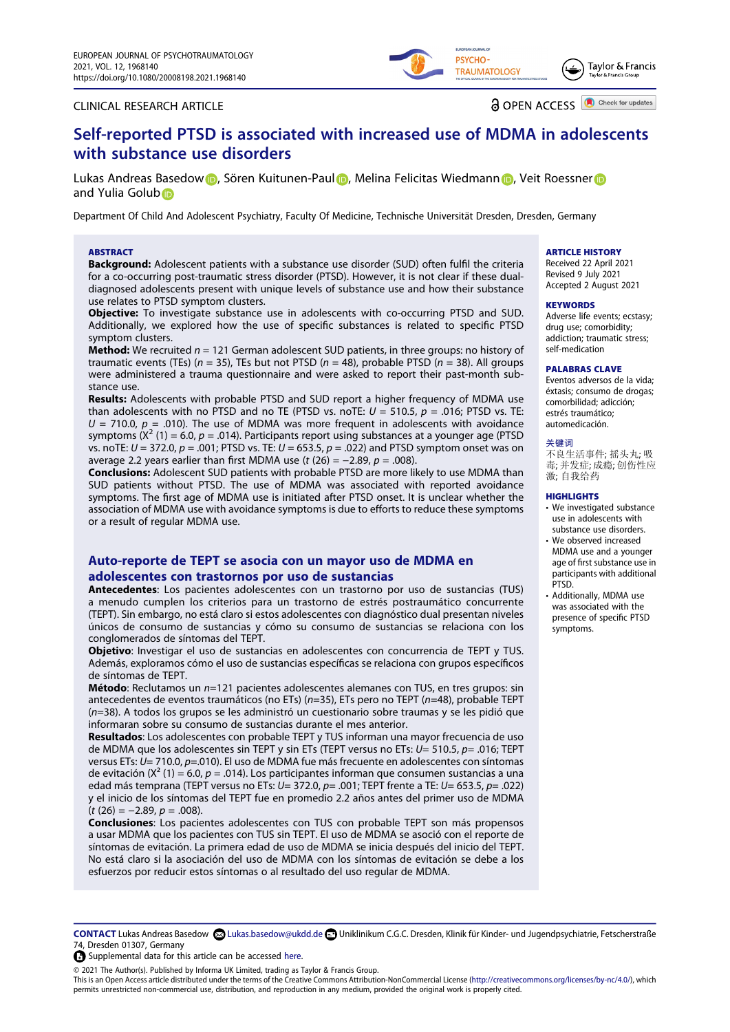### CLINICAL RESEARCH ARTICLE

**a** OPEN ACCESS **D** Check for updates

Taylor & Francis

PSYCHO-

**TRAUMATOLOGY** 

# **Self-reported PTSD is associated with increased use of MDMA in adolescents with substance use disorders**

Lukas Andreas Basedo[w](http://orcid.org/0000-0003-4866-8686) (D, Sören Kuitunen-Pau[l](http://orcid.org/0000-0001-8224-6490) D[,](http://orcid.org/0000-0001-7250-4329) Melina Felicitas Wiedmann D, Veit Roessner D and Yulia Golub<sup>®</sup>

Department Of Child And Adolescent Psychiatry, Faculty Of Medicine, Technische Universität Dresden, Dresden, Germany

#### **ABSTRACT**

**Background:** Adolescent patients with a substance use disorder (SUD) often fulfil the criteria for a co-occurring post-traumatic stress disorder (PTSD). However, it is not clear if these dualdiagnosed adolescents present with unique levels of substance use and how their substance use relates to PTSD symptom clusters.

**Objective:** To investigate substance use in adolescents with co-occurring PTSD and SUD. Additionally, we explored how the use of specific substances is related to specific PTSD symptom clusters.

**Method:** We recruited *n* = 121 German adolescent SUD patients, in three groups: no history of traumatic events (TEs) (*n* = 35), TEs but not PTSD (*n* = 48), probable PTSD (*n* = 38). All groups were administered a trauma questionnaire and were asked to report their past-month substance use.

**Results:** Adolescents with probable PTSD and SUD report a higher frequency of MDMA use than adolescents with no PTSD and no TE (PTSD vs. noTE:  $U = 510.5$ ,  $p = .016$ ; PTSD vs. TE:  $U = 710.0$ ,  $p = .010$ ). The use of MDMA was more frequent in adolescents with avoidance symptoms  $(X^2 (1) = 6.0, p = .014)$ . Participants report using substances at a younger age (PTSD vs. noTE: *U* = 372.0, *p* = .001; PTSD vs. TE: *U* = 653.5, *p* = .022) and PTSD symptom onset was on average 2.2 years earlier than first MDMA use (*t* (26) = −2.89, *p* = .008).

**Conclusions:** Adolescent SUD patients with probable PTSD are more likely to use MDMA than SUD patients without PTSD. The use of MDMA was associated with reported avoidance symptoms. The first age of MDMA use is initiated after PTSD onset. It is unclear whether the association of MDMA use with avoidance symptoms is due to efforts to reduce these symptoms or a result of regular MDMA use.

# **Auto-reporte de TEPT se asocia con un mayor uso de MDMA en adolescentes con trastornos por uso de sustancias**

**Antecedentes**: Los pacientes adolescentes con un trastorno por uso de sustancias (TUS) a menudo cumplen los criterios para un trastorno de estrés postraumático concurrente (TEPT). Sin embargo, no está claro si estos adolescentes con diagnóstico dual presentan niveles únicos de consumo de sustancias y cómo su consumo de sustancias se relaciona con los conglomerados de síntomas del TEPT.

**Objetivo**: Investigar el uso de sustancias en adolescentes con concurrencia de TEPT y TUS. Además, exploramos cómo el uso de sustancias específicas se relaciona con grupos específicos de síntomas de TEPT.

**Método**: Reclutamos un *n*=121 pacientes adolescentes alemanes con TUS, en tres grupos: sin antecedentes de eventos traumáticos (no ETs) (*n*=35), ETs pero no TEPT (*n*=48), probable TEPT (*n*=38). A todos los grupos se les administró un cuestionario sobre traumas y se les pidió que informaran sobre su consumo de sustancias durante el mes anterior.

**Resultados**: Los adolescentes con probable TEPT y TUS informan una mayor frecuencia de uso de MDMA que los adolescentes sin TEPT y sin ETs (TEPT versus no ETs: *U*= 510.5, *p*= .016; TEPT versus ETs: *U*= 710.0, *p*=.010). El uso de MDMA fue más frecuente en adolescentes con síntomas de evitación (X² (1) = 6.0, *p* = .014). Los participantes informan que consumen sustancias a una edad más temprana (TEPT versus no ETs: *U*= 372.0, *p*= .001; TEPT frente a TE: *U*= 653.5, *p*= .022) y el inicio de los síntomas del TEPT fue en promedio 2.2 años antes del primer uso de MDMA (*t* (26) = −2.89, *p* = .008).

**Conclusiones**: Los pacientes adolescentes con TUS con probable TEPT son más propensos a usar MDMA que los pacientes con TUS sin TEPT. El uso de MDMA se asoció con el reporte de síntomas de evitación. La primera edad de uso de MDMA se inicia después del inicio del TEPT. No está claro si la asociación del uso de MDMA con los síntomas de evitación se debe a los esfuerzos por reducir estos síntomas o al resultado del uso regular de MDMA.

### **ARTICLE HISTORY**

Received 22 April 2021 Revised 9 July 2021 Accepted 2 August 2021

### **KEYWORDS**

Adverse life events; ecstasy; drug use; comorbidity; addiction; traumatic stress; self-medication

#### **PALABRAS CLAVE**

Eventos adversos de la vida; éxtasis; consumo de drogas; comorbilidad; adicción; estrés traumático; automedicación.

#### 关键词

......<br>不良生活事件; 摇头丸; 吸 毒; 并发症; 成瘾; 创伤性应 激; 自我给药

#### **HIGHLIGHTS**

- We investigated substance use in adolescents with substance use disorders.
- We observed increased MDMA use and a younger age of first substance use in participants with additional PTSD.
- Additionally, MDMA use was associated with the presence of specific PTSD symptoms.

**CONTACT** Lukas Andreas Basedow Lukas.basedow@ukdd.de Uniklinikum C.G.C. Dresden, Klinik für Kinder- und Jugendpsychiatrie, Fetscherstraße 74, Dresden 01307, Germany

 $\bullet$  Supplemental data for this article can be accessed [here.](https://doi.org/10.1080/20008198.2021.1968140)

© 2021 The Author(s). Published by Informa UK Limited, trading as Taylor & Francis Group.

This is an Open Access article distributed under the terms of the Creative Commons Attribution-NonCommercial License (http://creativecommons.org/licenses/by-nc/4.0/), which permits unrestricted non-commercial use, distribution, and reproduction in any medium, provided the original work is properly cited.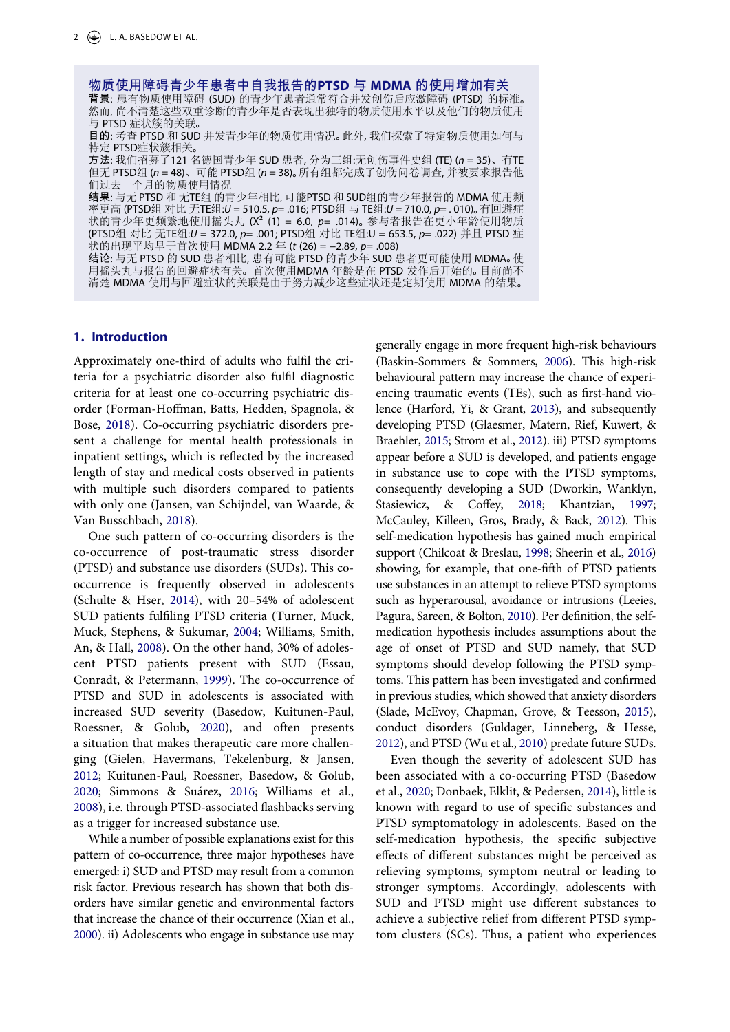物质使用障碍青少年患者中自我报告的**PTSD** 与 **MDMA** 的使用增加有关 然而, 尚不清楚这些双重诊断的青少年是否表现出独特的物质使用水平以及他们的物质使用

与 PTSD 症状簇的关联。<br>目的: 考查 PTSD 和 SUD 并发青少年的物质使用情况。此外, 我们探索了特定物质使用如何与<br>特定 PTSD症状簇相关。

方法: 我们招募了121 名德国青少年 SUD 患者, 分为三组:无创伤事件史组 (TE) (n = 35)、有TE 但无 PTSD组 (n = 48)、可能 PTSD组 (n = 38)。所有组都完成了创伤问卷调查, 并被要求报告他 们过去一个月的物质使用情况

结果: 与无 PTSD 和 无TE组 的青少年相比, 可能PTSD 和 SUD组的青少年报告的 MDMA 使用频 率更高 (PTSD组 对比 无TE组:*U* = 510.5, *p*= .016; PTSD组 与 TE组:*U* = 710.0, *p*= .010)。有回避症 状的青少年更频繁地使用摇头丸 (X<sup>2</sup> (1) = 6.0, p= .014)。 参与者报告在更小年龄使用物质 (PTSD组 对比 无TE组:*U* = 372.0, *p*= .001; PTSD组 对比 TE组:U = 653.5, *p*= .022) 并且 PTSD 症 状的出现平均早于首次使用 MDMA 2.2 年 (*t* (26) = −2.89, *p*= .008)

结论: 与无 PTSD 的 SUD 患者相比, 患有可能 PTSD 的青少年 SUD 患者更可能使用 MDMA。使 用摇头丸与报告的回避症状有关。首次使用MDMA 年龄是在 PTSD 发作后开始的。目前尚不 清楚 MDMA 使用与回避症状的关联是由于努力减少这些症状还是定期使用 MDMA 的结果。

# **1. Introduction**

<span id="page-1-5"></span>Approximately one-third of adults who fulfil the criteria for a psychiatric disorder also fulfil diagnostic criteria for at least one co-occurring psychiatric disorder (Forman-Hoffman, Batts, Hedden, Spagnola, & Bose, [2018](#page-8-0)). Co-occurring psychiatric disorders present a challenge for mental health professionals in inpatient settings, which is reflected by the increased length of stay and medical costs observed in patients with multiple such disorders compared to patients with only one (Jansen, van Schijndel, van Waarde, & Van Busschbach, [2018\)](#page-9-0).

<span id="page-1-17"></span><span id="page-1-14"></span><span id="page-1-10"></span><span id="page-1-4"></span>One such pattern of co-occurring disorders is the co-occurrence of post-traumatic stress disorder (PTSD) and substance use disorders (SUDs). This cooccurrence is frequently observed in adolescents (Schulte & Hser, [2014\)](#page-9-1), with 20–54% of adolescent SUD patients fulfiling PTSD criteria (Turner, Muck, Muck, Stephens, & Sukumar, [2004;](#page-10-0) Williams, Smith, An, & Hall, [2008](#page-10-1)). On the other hand, 30% of adolescent PTSD patients present with SUD (Essau, Conradt, & Petermann, [1999\)](#page-8-1). The co-occurrence of PTSD and SUD in adolescents is associated with increased SUD severity (Basedow, Kuitunen-Paul, Roessner, & Golub, [2020](#page-8-2)), and often presents a situation that makes therapeutic care more challenging (Gielen, Havermans, Tekelenburg, & Jansen, [2012](#page-8-3); Kuitunen-Paul, Roessner, Basedow, & Golub, [2020](#page-9-2); Simmons & Suárez, [2016;](#page-10-2) Williams et al., [2008](#page-10-1)), i.e. through PTSD-associated flashbacks serving as a trigger for increased substance use.

<span id="page-1-19"></span><span id="page-1-15"></span><span id="page-1-11"></span><span id="page-1-6"></span>While a number of possible explanations exist for this pattern of co-occurrence, three major hypotheses have emerged: i) SUD and PTSD may result from a common risk factor. Previous research has shown that both disorders have similar genetic and environmental factors that increase the chance of their occurrence (Xian et al., [2000\)](#page-10-3). ii) Adolescents who engage in substance use may

<span id="page-1-13"></span><span id="page-1-9"></span><span id="page-1-7"></span><span id="page-1-3"></span><span id="page-1-2"></span><span id="page-1-1"></span>generally engage in more frequent high-risk behaviours (Baskin-Sommers & Sommers, [2006\)](#page-8-4). This high-risk behavioural pattern may increase the chance of experiencing traumatic events (TEs), such as first-hand violence (Harford, Yi, & Grant, [2013\)](#page-8-5), and subsequently developing PTSD (Glaesmer, Matern, Rief, Kuwert, & Braehler, [2015;](#page-8-6) Strom et al., [2012\)](#page-10-4). iii) PTSD symptoms appear before a SUD is developed, and patients engage in substance use to cope with the PTSD symptoms, consequently developing a SUD (Dworkin, Wanklyn, Stasiewicz, & Coffey, [2018](#page-8-7); Khantzian, [1997;](#page-9-3) McCauley, Killeen, Gros, Brady, & Back, [2012\)](#page-9-4). This self-medication hypothesis has gained much empirical support (Chilcoat & Breslau, [1998;](#page-8-8) Sheerin et al., [2016\)](#page-10-5) showing, for example, that one-fifth of PTSD patients use substances in an attempt to relieve PTSD symptoms such as hyperarousal, avoidance or intrusions (Leeies, Pagura, Sareen, & Bolton, [2010\)](#page-9-5). Per definition, the selfmedication hypothesis includes assumptions about the age of onset of PTSD and SUD namely, that SUD symptoms should develop following the PTSD symptoms. This pattern has been investigated and confirmed in previous studies, which showed that anxiety disorders (Slade, McEvoy, Chapman, Grove, & Teesson, [2015](#page-10-6)), conduct disorders (Guldager, Linneberg, & Hesse, [2012](#page-8-9)), and PTSD (Wu et al., [2010](#page-10-7)) predate future SUDs.

<span id="page-1-18"></span><span id="page-1-16"></span><span id="page-1-12"></span><span id="page-1-8"></span><span id="page-1-0"></span>Even though the severity of adolescent SUD has been associated with a co-occurring PTSD (Basedow et al., [2020](#page-8-2); Donbaek, Elklit, & Pedersen, [2014\)](#page-8-10), little is known with regard to use of specific substances and PTSD symptomatology in adolescents. Based on the self-medication hypothesis, the specific subjective effects of different substances might be perceived as relieving symptoms, symptom neutral or leading to stronger symptoms. Accordingly, adolescents with SUD and PTSD might use different substances to achieve a subjective relief from different PTSD symptom clusters (SCs). Thus, a patient who experiences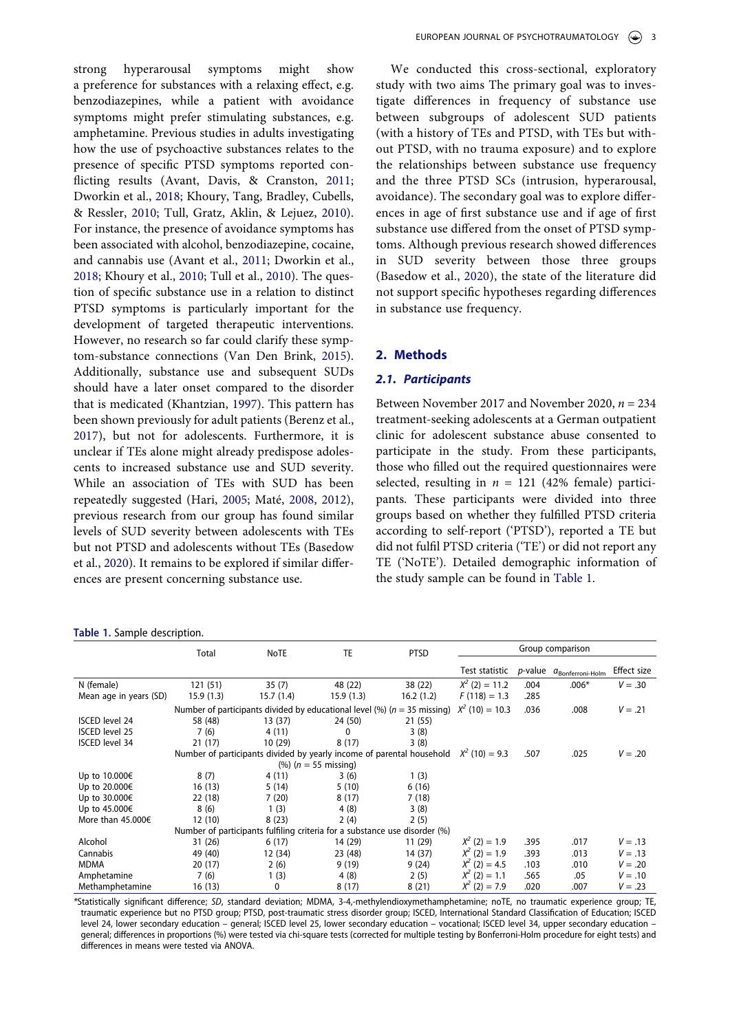<span id="page-2-5"></span><span id="page-2-4"></span><span id="page-2-1"></span>strong hyperarousal symptoms might show a preference for substances with a relaxing effect, e.g. benzodiazepines, while a patient with avoidance symptoms might prefer stimulating substances, e.g. amphetamine. Previous studies in adults investigating how the use of psychoactive substances relates to the presence of specific PTSD symptoms reported conflicting results (Avant, Davis, & Cranston, [2011](#page-8-11); Dworkin et al., [2018;](#page-8-7) Khoury, Tang, Bradley, Cubells, & Ressler, [2010;](#page-9-6) Tull, Gratz, Aklin, & Lejuez, [2010\)](#page-10-8). For instance, the presence of avoidance symptoms has been associated with alcohol, benzodiazepine, cocaine, and cannabis use (Avant et al., [2011;](#page-8-11) Dworkin et al., [2018](#page-8-7); Khoury et al., [2010](#page-9-6); Tull et al., [2010](#page-10-8)). The question of specific substance use in a relation to distinct PTSD symptoms is particularly important for the development of targeted therapeutic interventions. However, no research so far could clarify these symptom-substance connections (Van Den Brink, [2015\)](#page-10-9). Additionally, substance use and subsequent SUDs should have a later onset compared to the disorder that is medicated (Khantzian, [1997\)](#page-9-3). This pattern has been shown previously for adult patients (Berenz et al., [2017](#page-8-12)), but not for adolescents. Furthermore, it is unclear if TEs alone might already predispose adolescents to increased substance use and SUD severity. While an association of TEs with SUD has been repeatedly suggested (Hari, [2005;](#page-8-13) Maté, [2008](#page-9-7), [2012\)](#page-9-8), previous research from our group has found similar levels of SUD severity between adolescents with TEs but not PTSD and adolescents without TEs (Basedow et al., [2020\)](#page-8-2). It remains to be explored if similar differences are present concerning substance use.

#### <span id="page-2-3"></span><span id="page-2-2"></span><span id="page-2-0"></span>**Table 1.** Sample description.

We conducted this cross-sectional, exploratory study with two aims The primary goal was to investigate differences in frequency of substance use between subgroups of adolescent SUD patients (with a history of TEs and PTSD, with TEs but without PTSD, with no trauma exposure) and to explore the relationships between substance use frequency and the three PTSD SCs (intrusion, hyperarousal, avoidance). The secondary goal was to explore differences in age of first substance use and if age of first substance use differed from the onset of PTSD symptoms. Although previous research showed differences in SUD severity between those three groups (Basedow et al., [2020](#page-8-2)), the state of the literature did not support specific hypotheses regarding differences in substance use frequency.

# **2. Methods**

### *2.1. Participants*

Between November 2017 and November 2020, *n* = 234 treatment-seeking adolescents at a German outpatient clinic for adolescent substance abuse consented to participate in the study. From these participants, those who filled out the required questionnaires were selected, resulting in  $n = 121$  (42% female) participants. These participants were divided into three groups based on whether they fulfilled PTSD criteria according to self-report ('PTSD'), reported a TE but did not fulfil PTSD criteria ('TE') or did not report any TE ('NoTE'). Detailed demographic information of the study sample can be found in [Table 1](#page-2-0).

|                        | Total     | NoTE      | TE                                                                          | <b>PTSD</b> | Group comparison  |                 |                              |             |  |
|------------------------|-----------|-----------|-----------------------------------------------------------------------------|-------------|-------------------|-----------------|------------------------------|-------------|--|
|                        |           |           |                                                                             |             | Test statistic    | <i>p</i> -value | $a_{\text{Bonferroni-Holm}}$ | Effect size |  |
| N (female)             | 121(51)   | 35(7)     | 48 (22)                                                                     | 38 (22)     | $X^2$ (2) = 11.2  | .004            | $.006*$                      | $V = .30$   |  |
| Mean age in years (SD) | 15.9(1.3) | 15.7(1.4) | 15.9(1.3)                                                                   | 16.2(1.2)   | $F(118) = 1.3$    | .285            |                              |             |  |
|                        |           |           | Number of participants divided by educational level (%) ( $n = 35$ missing) |             | $X^2$ (10) = 10.3 | .036            | .008                         | $V = .21$   |  |
| <b>ISCED level 24</b>  | 58 (48)   | 13(37)    | 24 (50)                                                                     | 21 (55)     |                   |                 |                              |             |  |
| <b>ISCED level 25</b>  | 7(6)      | 4(11)     | 0                                                                           | 3(8)        |                   |                 |                              |             |  |
| <b>ISCED level 34</b>  | 21(17)    | 10(29)    | 8(17)                                                                       | 3(8)        |                   |                 |                              |             |  |
|                        |           |           | Number of participants divided by yearly income of parental household       |             | $X^2$ (10) = 9.3  | .507            | .025                         | $V = .20$   |  |
|                        |           |           | $(%) (n = 55 \text{ missing})$                                              |             |                   |                 |                              |             |  |
| Up to 10.000€          | 8(7)      | 4(11)     | 3(6)                                                                        | 1(3)        |                   |                 |                              |             |  |
| Up to 20.000€          | 16(13)    | 5(14)     | 5(10)                                                                       | 6(16)       |                   |                 |                              |             |  |
| Up to 30.000€          | 22 (18)   | 7(20)     | 8(17)                                                                       | 7(18)       |                   |                 |                              |             |  |
| Up to 45.000€          | 8(6)      | 1(3)      | 4(8)                                                                        | 3(8)        |                   |                 |                              |             |  |
| More than $45.000 \in$ | 12(10)    | 8(23)     | 2(4)                                                                        | 2(5)        |                   |                 |                              |             |  |
|                        |           |           | Number of participants fulfiling criteria for a substance use disorder (%)  |             |                   |                 |                              |             |  |
| Alcohol                | 31 (26)   | 6(17)     | 14 (29)                                                                     | 11(29)      | $X^2$ (2) = 1.9   | .395            | .017                         | $V = .13$   |  |
| Cannabis               | 49 (40)   | 12 (34)   | 23 (48)                                                                     | 14 (37)     | $X^2$ (2) = 1.9   | .393            | .013                         | $V = .13$   |  |
| MDMA                   | 20(17)    | 2(6)      | 9(19)                                                                       | 9(24)       | $X^2$ (2) = 4.5   | .103            | .010                         | $V = .20$   |  |
| Amphetamine            | 7(6)      | 1(3)      | 4(8)                                                                        | 2(5)        | $X^2$ (2) = 1.1   | .565            | .05                          | $V = .10$   |  |
| Methamphetamine        | 16 (13)   | 0         | 8(17)                                                                       | 8(21)       | $X^2$ (2) = 7.9   | .020            | .007                         | $V = .23$   |  |

*\**Statistically significant difference; *SD*, standard deviation; MDMA, 3-4,-methylendioxymethamphetamine; noTE, no traumatic experience group; TE, traumatic experience but no PTSD group; PTSD, post-traumatic stress disorder group; ISCED, International Standard Classification of Education; ISCED level 24, lower secondary education – general; ISCED level 25, lower secondary education – vocational; ISCED level 34, upper secondary education – general; differences in proportions (%) were tested via chi-square tests (corrected for multiple testing by Bonferroni-Holm procedure for eight tests) and differences in means were tested via ANOVA.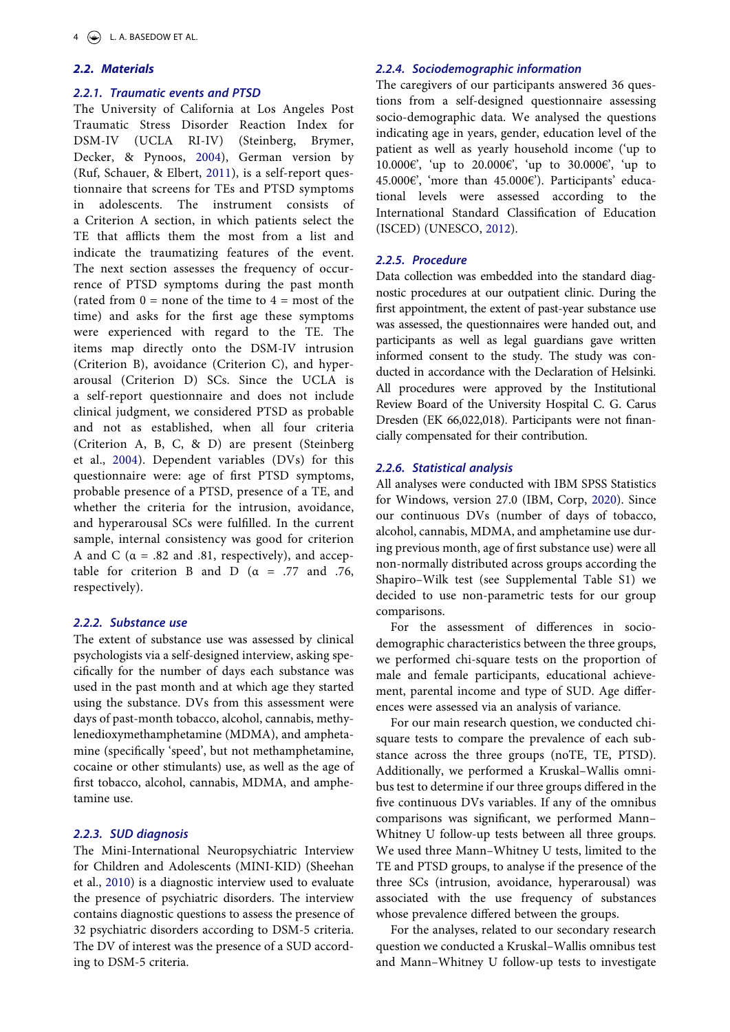# *2.2. Materials*

# *2.2.1. Traumatic events and PTSD*

<span id="page-3-1"></span>The University of California at Los Angeles Post Traumatic Stress Disorder Reaction Index for DSM-IV (UCLA RI-IV) (Steinberg, Brymer, Decker, & Pynoos, [2004](#page-10-10)), German version by (Ruf, Schauer, & Elbert, [2011\)](#page-9-9), is a self-report questionnaire that screens for TEs and PTSD symptoms in adolescents. The instrument consists of a Criterion A section, in which patients select the TE that afflicts them the most from a list and indicate the traumatizing features of the event. The next section assesses the frequency of occurrence of PTSD symptoms during the past month (rated from  $0 =$  none of the time to  $4 =$  most of the time) and asks for the first age these symptoms were experienced with regard to the TE. The items map directly onto the DSM-IV intrusion (Criterion B), avoidance (Criterion C), and hyperarousal (Criterion D) SCs. Since the UCLA is a self-report questionnaire and does not include clinical judgment, we considered PTSD as probable and not as established, when all four criteria (Criterion A, B, C, & D) are present (Steinberg et al., [2004](#page-10-10)). Dependent variables (DVs) for this questionnaire were: age of first PTSD symptoms, probable presence of a PTSD, presence of a TE, and whether the criteria for the intrusion, avoidance, and hyperarousal SCs were fulfilled. In the current sample, internal consistency was good for criterion A and C ( $\alpha$  = .82 and .81, respectively), and acceptable for criterion B and D ( $\alpha$  = .77 and .76, respectively).

# <span id="page-3-3"></span>*2.2.2. Substance use*

The extent of substance use was assessed by clinical psychologists via a self-designed interview, asking specifically for the number of days each substance was used in the past month and at which age they started using the substance. DVs from this assessment were days of past-month tobacco, alcohol, cannabis, methylenedioxymethamphetamine (MDMA), and amphetamine (specifically 'speed', but not methamphetamine, cocaine or other stimulants) use, as well as the age of first tobacco, alcohol, cannabis, MDMA, and amphetamine use.

### *2.2.3. SUD diagnosis*

<span id="page-3-2"></span>The Mini-International Neuropsychiatric Interview for Children and Adolescents (MINI-KID) (Sheehan et al., [2010](#page-9-10)) is a diagnostic interview used to evaluate the presence of psychiatric disorders. The interview contains diagnostic questions to assess the presence of 32 psychiatric disorders according to DSM-5 criteria. The DV of interest was the presence of a SUD according to DSM-5 criteria.

# *2.2.4. Sociodemographic information*

The caregivers of our participants answered 36 questions from a self-designed questionnaire assessing socio-demographic data. We analysed the questions indicating age in years, gender, education level of the patient as well as yearly household income ('up to 10.000€', 'up to 20.000€', 'up to 30.000€', 'up to 45.000€', 'more than 45.000€'). Participants' educational levels were assessed according to the International Standard Classification of Education (ISCED) (UNESCO, [2012](#page-10-11)).

# <span id="page-3-4"></span>*2.2.5. Procedure*

Data collection was embedded into the standard diagnostic procedures at our outpatient clinic. During the first appointment, the extent of past-year substance use was assessed, the questionnaires were handed out, and participants as well as legal guardians gave written informed consent to the study. The study was conducted in accordance with the Declaration of Helsinki. All procedures were approved by the Institutional Review Board of the University Hospital C. G. Carus Dresden (EK 66,022,018). Participants were not financially compensated for their contribution.

### *2.2.6. Statistical analysis*

<span id="page-3-0"></span>All analyses were conducted with IBM SPSS Statistics for Windows, version 27.0 (IBM, Corp, [2020\)](#page-9-11). Since our continuous DVs (number of days of tobacco, alcohol, cannabis, MDMA, and amphetamine use during previous month, age of first substance use) were all non-normally distributed across groups according the Shapiro–Wilk test (see Supplemental Table S1) we decided to use non-parametric tests for our group comparisons.

For the assessment of differences in sociodemographic characteristics between the three groups, we performed chi-square tests on the proportion of male and female participants, educational achievement, parental income and type of SUD. Age differences were assessed via an analysis of variance.

For our main research question, we conducted chisquare tests to compare the prevalence of each substance across the three groups (noTE, TE, PTSD). Additionally, we performed a Kruskal–Wallis omnibus test to determine if our three groups differed in the five continuous DVs variables. If any of the omnibus comparisons was significant, we performed Mann– Whitney U follow-up tests between all three groups. We used three Mann–Whitney U tests, limited to the TE and PTSD groups, to analyse if the presence of the three SCs (intrusion, avoidance, hyperarousal) was associated with the use frequency of substances whose prevalence differed between the groups.

For the analyses, related to our secondary research question we conducted a Kruskal–Wallis omnibus test and Mann–Whitney U follow-up tests to investigate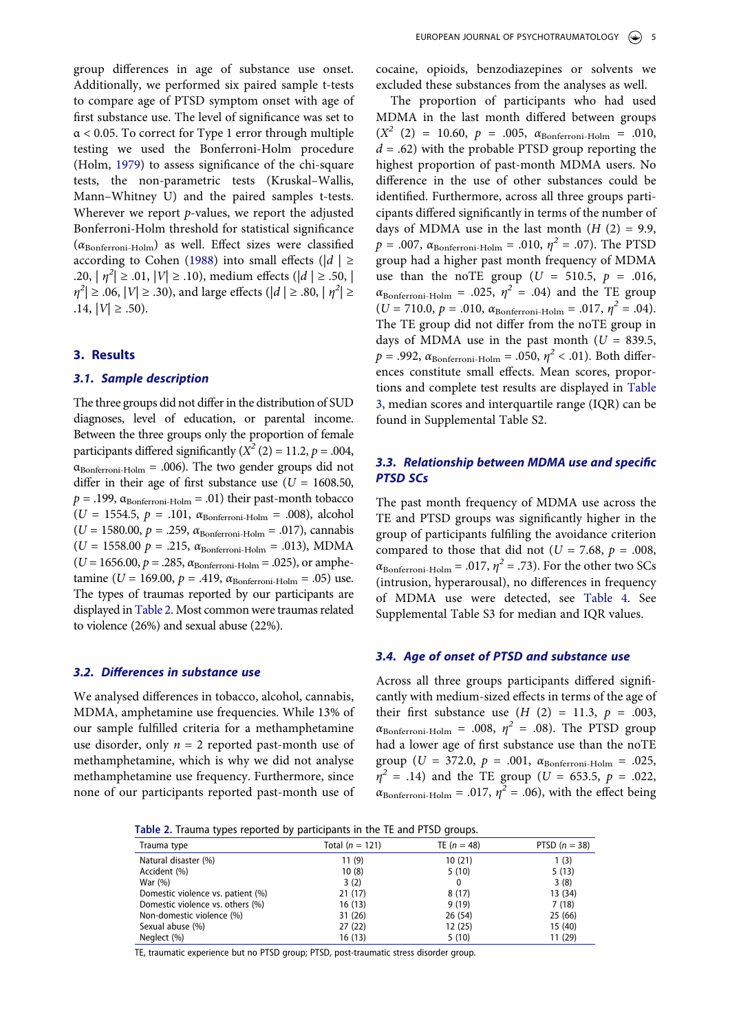<span id="page-4-2"></span>group differences in age of substance use onset. Additionally, we performed six paired sample t-tests to compare age of PTSD symptom onset with age of first substance use. The level of significance was set to α < 0.05. To correct for Type 1 error through multiple testing we used the Bonferroni-Holm procedure (Holm, [1979\)](#page-9-12) to assess significance of the chi-square tests, the non-parametric tests (Kruskal–Wallis, Mann–Whitney U) and the paired samples t-tests. Wherever we report *p*-values, we report the adjusted Bonferroni-Holm threshold for statistical significance  $(\alpha_{\text{Bonferroni-Holm}})$  as well. Effect sizes were classified according to Cohen [\(1988](#page-8-14)) into small effects ( $|d| \ge$ .20,  $| \eta^2 | \ge .01$ ,  $| V | \ge .10$ ), medium effects ( $| d | \ge .50$ , |  $|\eta^2| \geq .06$ ,  $|V| \geq .30$ ), and large effects ( $|d| \geq .80$ ,  $|\eta^2| \geq$ .14,  $|V|$  ≥ .50).

# <span id="page-4-1"></span>**3. Results**

### *3.1. Sample description*

The three groups did not differ in the distribution of SUD diagnoses, level of education, or parental income. Between the three groups only the proportion of female participants differed significantly  $(X^2 (2) = 11.2, p = .004,$  $\alpha_{\text{Bonferroni-Holm}} = .006$ ). The two gender groups did not differ in their age of first substance use (*U* = 1608.50,  $p = .199$ ,  $\alpha_{\text{Bonferroni-Holm}} = .01$ ) their past-month tobacco  $(U = 1554.5, p = .101, α_{\text{Bonferroni-Holm}} = .008)$ , alcohol  $(U = 1580.00, p = .259, \alpha_{\text{Bonferroni-Holm}} = .017)$ , cannabis  $(U = 1558.00 \text{ p} = .215, \alpha_{\text{Bonferroni-Holm}} = .013)$ , MDMA  $(U = 1656.00, p = .285, \alpha_{\text{Bonferroni-Holm}} = .025)$ , or amphetamine ( $U = 169.00$ ,  $p = .419$ ,  $\alpha_{\text{Bonferroni-Holm}} = .05$ ) use. The types of traumas reported by our participants are displayed in [Table 2](#page-4-0). Most common were traumas related to violence (26%) and sexual abuse (22%).

#### *3.2. Differences in substance use*

We analysed differences in tobacco, alcohol, cannabis, MDMA, amphetamine use frequencies. While 13% of our sample fulfilled criteria for a methamphetamine use disorder, only  $n = 2$  reported past-month use of methamphetamine, which is why we did not analyse methamphetamine use frequency. Furthermore, since none of our participants reported past-month use of cocaine, opioids, benzodiazepines or solvents we excluded these substances from the analyses as well.

The proportion of participants who had used MDMA in the last month differed between groups  $(X^2 \t(2) = 10.60, p = .005, \t\alpha_{\text{Bonferroni-Holm}} = .010,$  $d = .62$ ) with the probable PTSD group reporting the highest proportion of past-month MDMA users. No difference in the use of other substances could be identified. Furthermore, across all three groups participants differed significantly in terms of the number of days of MDMA use in the last month  $(H (2) = 9.9,$  $p = .007$ ,  $\alpha_{\text{Bonferroni-Holm}} = .010$ ,  $\eta^2 = .07$ ). The PTSD group had a higher past month frequency of MDMA use than the noTE group ( $U = 510.5$ ,  $p = .016$ ,  $\alpha_{\text{Bonferroni-Holm}} = .025$ ,  $\eta^2 = .04$ ) and the TE group  $(U = 710.0, p = .010, \alpha_{\text{Bonferroni-Holm}} = .017, \eta^2 = .04).$ The TE group did not differ from the noTE group in days of MDMA use in the past month  $(U = 839.5,$  $p = .992$ ,  $\alpha_{\text{Bonferroni-Holm}} = .050$ ,  $\eta^2 < .01$ ). Both differences constitute small effects. Mean scores, proportions and complete test results are displayed in [Table](#page-5-0) [3,](#page-5-0) median scores and interquartile range (IQR) can be found in Supplemental Table S2.

# *3.3. Relationship between MDMA use and specific PTSD SCs*

The past month frequency of MDMA use across the TE and PTSD groups was significantly higher in the group of participants fulfiling the avoidance criterion compared to those that did not ( $U = 7.68$ ,  $p = .008$ ,  $\alpha_{\text{Bonferroni-Holm}} = .017$ ,  $\eta^2 = .73$ ). For the other two SCs (intrusion, hyperarousal), no differences in frequency of MDMA use were detected, see [Table 4.](#page-5-1) See Supplemental Table S3 for median and IQR values.

# *3.4. Age of onset of PTSD and substance use*

Across all three groups participants differed significantly with medium-sized effects in terms of the age of their first substance use  $(H (2) = 11.3, p = .003,$  $\alpha_{\text{Bonferroni-Holm}} = .008, \eta^2 = .08$ ). The PTSD group had a lower age of first substance use than the noTE group ( $U = 372.0$ ,  $p = .001$ ,  $\alpha_{\text{Bonferroni-Holm}} = .025$ ,  $\eta^2$  = .14) and the TE group (*U* = 653.5, *p* = .022,  $\alpha_{\text{Bonferroni-Holm}} = .017$ ,  $\eta^2 = .06$ ), with the effect being

<span id="page-4-0"></span>

|  |  |  | Table 2. Trauma types reported by participants in the TE and PTSD groups. |
|--|--|--|---------------------------------------------------------------------------|
|--|--|--|---------------------------------------------------------------------------|

| Trauma type                       | Total $(n = 121)$ | TE $(n = 48)$ | PTSD $(n = 38)$ |
|-----------------------------------|-------------------|---------------|-----------------|
| Natural disaster (%)              | 11(9)             | 10(21)        | 1(3)            |
| Accident (%)                      | 10(8)             | 5(10)         | 5(13)           |
| War (%)                           | 3(2)              | 0             | 3(8)            |
| Domestic violence vs. patient (%) | 21(17)            | 8(17)         | 13 (34)         |
| Domestic violence vs. others (%)  | 16(13)            | 9(19)         | 7(18)           |
| Non-domestic violence (%)         | 31(26)            | 26(54)        | 25(66)          |
| Sexual abuse (%)                  | 27(22)            | 12(25)        | 15 (40)         |
| Neglect (%)                       | 16(13)            | 5(10)         | 11 (29)         |

TE, traumatic experience but no PTSD group; PTSD, post-traumatic stress disorder group.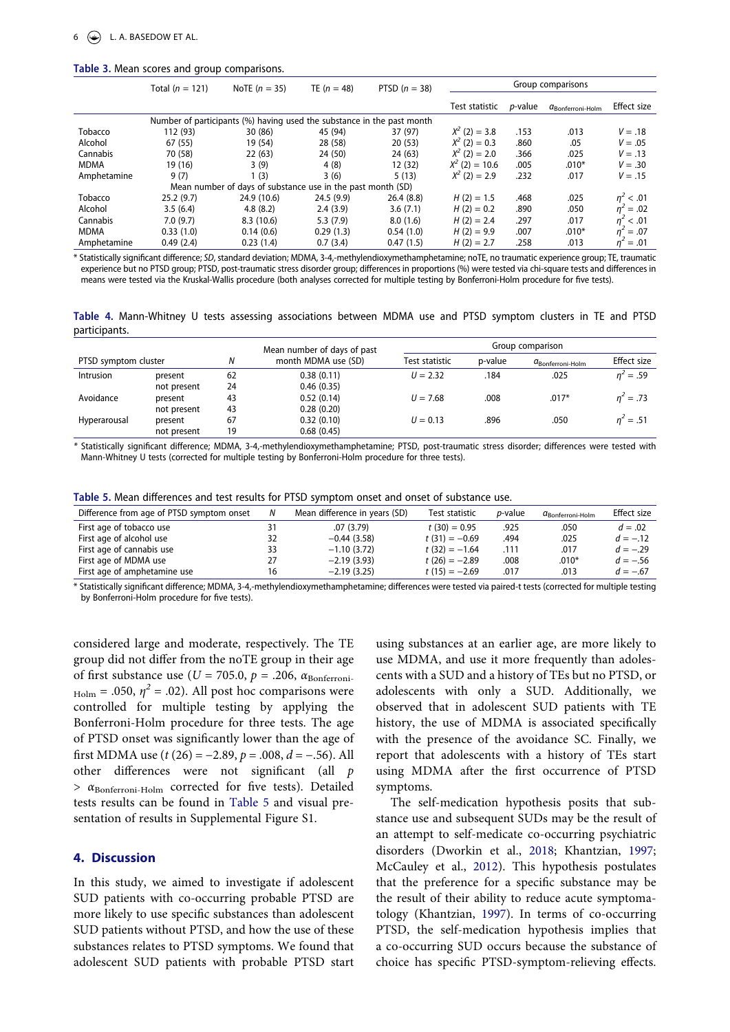#### <span id="page-5-0"></span>**Table 3.** Mean scores and group comparisons.

|             | Total $(n = 121)$ | NoTE $(n = 35)$                                                        | TE $(n = 48)$ | PTSD $(n = 38)$ | Group comparisons |                 |                              |                |
|-------------|-------------------|------------------------------------------------------------------------|---------------|-----------------|-------------------|-----------------|------------------------------|----------------|
|             |                   |                                                                        |               |                 | Test statistic    | <i>p</i> -value | $a_{\text{Bonferroni-Holm}}$ | Effect size    |
|             |                   | Number of participants (%) having used the substance in the past month |               |                 |                   |                 |                              |                |
| Tobacco     | 112 (93)          | 30 (86)                                                                | 45 (94)       | 37 (97)         | $X^2$ (2) = 3.8   | .153            | .013                         | $V = .18$      |
| Alcohol     | 67 (55)           | 19 (54)                                                                | 28 (58)       | 20(53)          | $X^2$ (2) = 0.3   | .860            | .05                          | $V = .05$      |
| Cannabis    | 70 (58)           | 22(63)                                                                 | 24 (50)       | 24 (63)         | $X^2$ (2) = 2.0   | .366            | .025                         | $V = .13$      |
| <b>MDMA</b> | 19 (16)           | 3(9)                                                                   | 4(8)          | 12(32)          | $X^2$ (2) = 10.6  | .005            | $.010*$                      | $V = .30$      |
| Amphetamine | 9(7)              | 1(3)                                                                   | 3(6)          | 5(13)           | $X^2$ (2) = 2.9   | .232            | .017                         | $V = .15$      |
|             |                   | Mean number of days of substance use in the past month (SD)            |               |                 |                   |                 |                              |                |
| Tobacco     | 25.2(9.7)         | 24.9 (10.6)                                                            | 24.5(9.9)     | 26.4(8.8)       | $H(2) = 1.5$      | .468            | .025                         | $\eta^2$ < .01 |
| Alcohol     | 3.5(6.4)          | 4.8(8.2)                                                               | 2.4(3.9)      | 3.6(7.1)        | $H(2) = 0.2$      | .890            | .050                         | $n^2 = .02$    |
| Cannabis    | 7.0(9.7)          | 8.3(10.6)                                                              | 5.3(7.9)      | 8.0(1.6)        | $H(2) = 2.4$      | .297            | .017                         | < .01          |
| <b>MDMA</b> | 0.33(1.0)         | 0.14(0.6)                                                              | 0.29(1.3)     | 0.54(1.0)       | $H(2) = 9.9$      | .007            | $.010*$                      | $n^2 = .07$    |
| Amphetamine | 0.49(2.4)         | 0.23(1.4)                                                              | 0.7(3.4)      | 0.47(1.5)       | $H(2) = 2.7$      | .258            | .013                         | $n^2 = .01$    |

\* Statistically significant difference; *SD*, standard deviation; MDMA, 3-4,-methylendioxymethamphetamine; noTE, no traumatic experience group; TE, traumatic experience but no PTSD group; PTSD, post-traumatic stress disorder group; differences in proportions (%) were tested via chi-square tests and differences in means were tested via the Kruskal-Wallis procedure (both analyses corrected for multiple testing by Bonferroni-Holm procedure for five tests).

<span id="page-5-1"></span>**Table 4.** Mann-Whitney U tests assessing associations between MDMA use and PTSD symptom clusters in TE and PTSD participants.

|                      |             |    | Mean number of days of past | Group comparison |         |                              |             |  |  |
|----------------------|-------------|----|-----------------------------|------------------|---------|------------------------------|-------------|--|--|
| PTSD symptom cluster |             | Ν  | month MDMA use (SD)         | Test statistic   | p-value | $a_{\text{Bonferroni-Holm}}$ | Effect size |  |  |
| Intrusion            | present     | 62 | 0.38(0.11)                  | $U = 2.32$       | .184    | .025                         | $n^2 = .59$ |  |  |
|                      | not present | 24 | 0.46(0.35)                  |                  |         |                              |             |  |  |
| Avoidance            | present     | 43 | 0.52(0.14)                  | $U = 7.68$       | .008    | $.017*$                      | $n^2 = .73$ |  |  |
|                      | not present | 43 | 0.28(0.20)                  |                  |         |                              |             |  |  |
| Hyperarousal         | present     | 67 | 0.32(0.10)                  | $U = 0.13$       | .896    | .050                         | $n^2 = .51$ |  |  |
|                      | not present | 19 | 0.68(0.45)                  |                  |         |                              |             |  |  |

*\** Statistically significant difference; MDMA, 3-4,-methylendioxymethamphetamine; PTSD, post-traumatic stress disorder; differences were tested with Mann-Whitney U tests (corrected for multiple testing by Bonferroni-Holm procedure for three tests).

<span id="page-5-2"></span>

| Table 5. Mean differences and test results for PTSD symptom onset and onset of substance use. |  |
|-----------------------------------------------------------------------------------------------|--|
|-----------------------------------------------------------------------------------------------|--|

| Difference from age of PTSD symptom onset |    | Mean difference in years (SD) | Test statistic  | <i>p</i> -value | $a_{\text{Bonferroni-Holm}}$ | Effect size |
|-------------------------------------------|----|-------------------------------|-----------------|-----------------|------------------------------|-------------|
| First age of tobacco use                  |    | .07(3.79)                     | $t(30) = 0.95$  | .925            | .050                         | $d = .02$   |
| First age of alcohol use                  | 32 | $-0.44(3.58)$                 | $t(31) = -0.69$ | .494            | .025                         | $d = -.12$  |
| First age of cannabis use                 | 33 | $-1.10(3.72)$                 | $t(32) = -1.64$ | .111            | .017                         | $d = -.29$  |
| First age of MDMA use                     | 27 | $-2.19(3.93)$                 | $t(26) = -2.89$ | .008            | $.010*$                      | $d = -.56$  |
| First age of amphetamine use              | 16 | $-2.19(3.25)$                 | $t(15) = -2.69$ | .017            | .013                         | $d = -.67$  |

\* Statistically significant difference; MDMA, 3-4,-methylendioxymethamphetamine; differences were tested via paired-t tests (corrected for multiple testing by Bonferroni-Holm procedure for five tests).

considered large and moderate, respectively. The TE group did not differ from the noTE group in their age of first substance use ( $U = 705.0$ ,  $p = .206$ ,  $\alpha_{\text{Bonferroni}}$  $_{\text{Holm}}$  = .050,  $\eta^2$  = .02). All post hoc comparisons were controlled for multiple testing by applying the Bonferroni-Holm procedure for three tests. The age of PTSD onset was significantly lower than the age of first MDMA use (*t* (26) = −2.89, *p* = .008, *d* = −.56). All other differences were not significant (all *p*   $> \alpha_{\text{Bonferroni-Holm}}$  corrected for five tests). Detailed tests results can be found in [Table 5](#page-5-2) and visual presentation of results in Supplemental Figure S1.

# **4. Discussion**

In this study, we aimed to investigate if adolescent SUD patients with co-occurring probable PTSD are more likely to use specific substances than adolescent SUD patients without PTSD, and how the use of these substances relates to PTSD symptoms. We found that adolescent SUD patients with probable PTSD start

using substances at an earlier age, are more likely to use MDMA, and use it more frequently than adolescents with a SUD and a history of TEs but no PTSD, or adolescents with only a SUD. Additionally, we observed that in adolescent SUD patients with TE history, the use of MDMA is associated specifically with the presence of the avoidance SC. Finally, we report that adolescents with a history of TEs start using MDMA after the first occurrence of PTSD symptoms.

The self-medication hypothesis posits that substance use and subsequent SUDs may be the result of an attempt to self-medicate co-occurring psychiatric disorders (Dworkin et al., [2018;](#page-8-7) Khantzian, [1997;](#page-9-3) McCauley et al., [2012](#page-9-4)). This hypothesis postulates that the preference for a specific substance may be the result of their ability to reduce acute symptomatology (Khantzian, [1997\)](#page-9-3). In terms of co-occurring PTSD, the self-medication hypothesis implies that a co-occurring SUD occurs because the substance of choice has specific PTSD-symptom-relieving effects.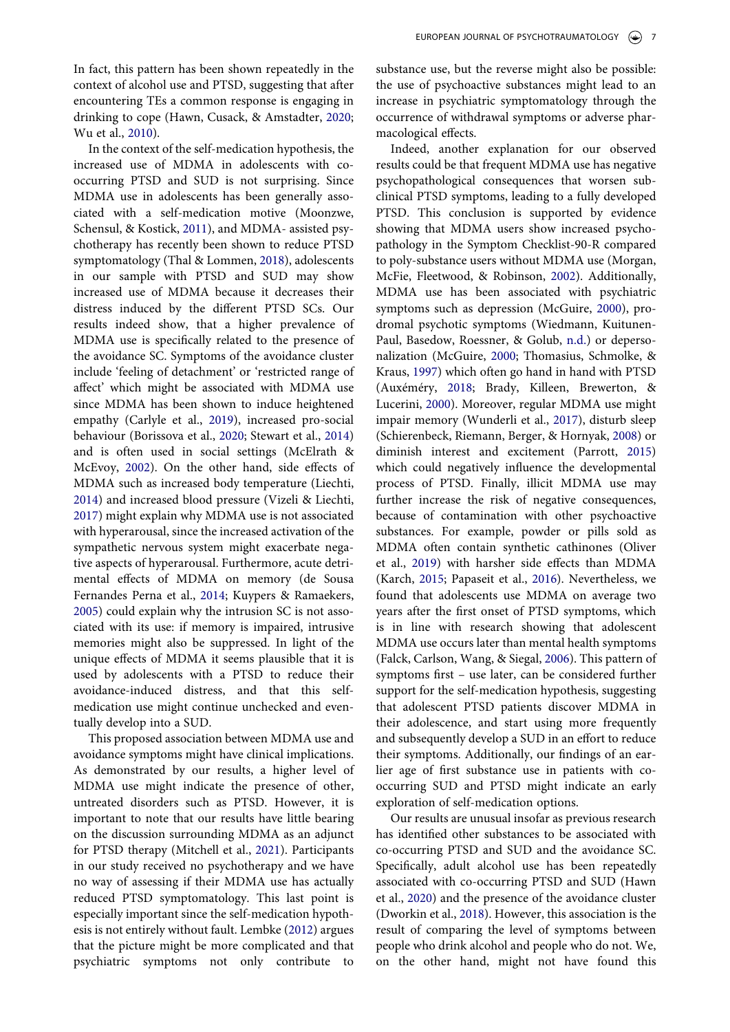<span id="page-6-18"></span><span id="page-6-13"></span><span id="page-6-3"></span><span id="page-6-1"></span>In the context of the self-medication hypothesis, the increased use of MDMA in adolescents with cooccurring PTSD and SUD is not surprising. Since MDMA use in adolescents has been generally associated with a self-medication motive (Moonzwe, Schensul, & Kostick, [2011](#page-9-14)), and MDMA- assisted psychotherapy has recently been shown to reduce PTSD symptomatology (Thal & Lommen, [2018](#page-10-12)), adolescents in our sample with PTSD and SUD may show increased use of MDMA because it decreases their distress induced by the different PTSD SCs. Our results indeed show, that a higher prevalence of MDMA use is specifically related to the presence of the avoidance SC. Symptoms of the avoidance cluster include 'feeling of detachment' or 'restricted range of affect' which might be associated with MDMA use since MDMA has been shown to induce heightened empathy (Carlyle et al., [2019](#page-8-15)), increased pro-social behaviour (Borissova et al., [2020;](#page-8-16) Stewart et al., [2014](#page-10-13)) and is often used in social settings (McElrath & McEvoy, [2002](#page-9-15)). On the other hand, side effects of MDMA such as increased body temperature (Liechti, [2014](#page-9-16)) and increased blood pressure (Vizeli & Liechti, [2017](#page-10-14)) might explain why MDMA use is not associated with hyperarousal, since the increased activation of the sympathetic nervous system might exacerbate negative aspects of hyperarousal. Furthermore, acute detrimental effects of MDMA on memory (de Sousa Fernandes Perna et al., [2014;](#page-8-17) Kuypers & Ramaekers, [2005](#page-9-17)) could explain why the intrusion SC is not associated with its use: if memory is impaired, intrusive memories might also be suppressed. In light of the unique effects of MDMA it seems plausible that it is used by adolescents with a PTSD to reduce their avoidance-induced distress, and that this selfmedication use might continue unchecked and eventually develop into a SUD.

<span id="page-6-20"></span><span id="page-6-12"></span><span id="page-6-10"></span><span id="page-6-9"></span><span id="page-6-8"></span><span id="page-6-4"></span>This proposed association between MDMA use and avoidance symptoms might have clinical implications. As demonstrated by our results, a higher level of MDMA use might indicate the presence of other, untreated disorders such as PTSD. However, it is important to note that our results have little bearing on the discussion surrounding MDMA as an adjunct for PTSD therapy (Mitchell et al., [2021\)](#page-9-18). Participants in our study received no psychotherapy and we have no way of assessing if their MDMA use has actually reduced PTSD symptomatology. This last point is especially important since the self-medication hypothesis is not entirely without fault. Lembke [\(2012\)](#page-9-19) argues that the picture might be more complicated and that psychiatric symptoms not only contribute to

substance use, but the reverse might also be possible: the use of psychoactive substances might lead to an increase in psychiatric symptomatology through the occurrence of withdrawal symptoms or adverse pharmacological effects.

<span id="page-6-22"></span><span id="page-6-21"></span><span id="page-6-19"></span><span id="page-6-17"></span><span id="page-6-16"></span><span id="page-6-14"></span><span id="page-6-11"></span><span id="page-6-2"></span><span id="page-6-0"></span>Indeed, another explanation for our observed results could be that frequent MDMA use has negative psychopathological consequences that worsen subclinical PTSD symptoms, leading to a fully developed PTSD. This conclusion is supported by evidence showing that MDMA users show increased psychopathology in the Symptom Checklist-90-R compared to poly-substance users without MDMA use (Morgan, McFie, Fleetwood, & Robinson, [2002\)](#page-9-20). Additionally, MDMA use has been associated with psychiatric symptoms such as depression (McGuire, [2000\)](#page-9-21), prodromal psychotic symptoms (Wiedmann, Kuitunen-Paul, Basedow, Roessner, & Golub, [n.d.](#page-10-15)) or depersonalization (McGuire, [2000;](#page-9-21) Thomasius, Schmolke, & Kraus, [1997\)](#page-10-16) which often go hand in hand with PTSD (Auxéméry, [2018](#page-8-18); Brady, Killeen, Brewerton, & Lucerini, [2000\)](#page-8-19). Moreover, regular MDMA use might impair memory (Wunderli et al., [2017\)](#page-10-17), disturb sleep (Schierenbeck, Riemann, Berger, & Hornyak, [2008\)](#page-9-22) or diminish interest and excitement (Parrott, [2015\)](#page-9-23) which could negatively influence the developmental process of PTSD. Finally, illicit MDMA use may further increase the risk of negative consequences, because of contamination with other psychoactive substances. For example, powder or pills sold as MDMA often contain synthetic cathinones (Oliver et al., [2019](#page-9-24)) with harsher side effects than MDMA (Karch, [2015](#page-9-25); Papaseit et al., [2016](#page-9-26)). Nevertheless, we found that adolescents use MDMA on average two years after the first onset of PTSD symptoms, which is in line with research showing that adolescent MDMA use occurs later than mental health symptoms (Falck, Carlson, Wang, & Siegal, [2006](#page-8-20)). This pattern of symptoms first – use later, can be considered further support for the self-medication hypothesis, suggesting that adolescent PTSD patients discover MDMA in their adolescence, and start using more frequently and subsequently develop a SUD in an effort to reduce their symptoms. Additionally, our findings of an earlier age of first substance use in patients with cooccurring SUD and PTSD might indicate an early exploration of self-medication options.

<span id="page-6-15"></span><span id="page-6-7"></span><span id="page-6-6"></span><span id="page-6-5"></span>Our results are unusual insofar as previous research has identified other substances to be associated with co-occurring PTSD and SUD and the avoidance SC. Specifically, adult alcohol use has been repeatedly associated with co-occurring PTSD and SUD (Hawn et al., [2020\)](#page-9-13) and the presence of the avoidance cluster (Dworkin et al., [2018](#page-8-7)). However, this association is the result of comparing the level of symptoms between people who drink alcohol and people who do not. We, on the other hand, might not have found this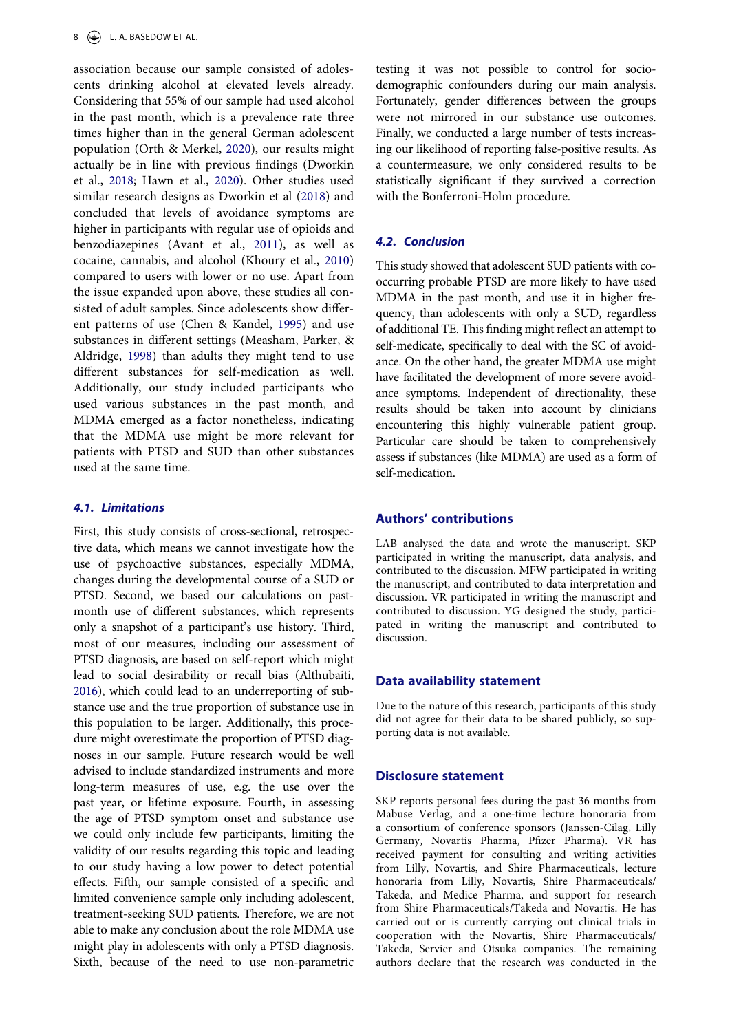<span id="page-7-3"></span>association because our sample consisted of adolescents drinking alcohol at elevated levels already. Considering that 55% of our sample had used alcohol in the past month, which is a prevalence rate three times higher than in the general German adolescent population (Orth & Merkel, [2020\)](#page-9-27), our results might actually be in line with previous findings (Dworkin et al., [2018;](#page-8-7) Hawn et al., [2020](#page-9-13)). Other studies used similar research designs as Dworkin et al [\(2018\)](#page-8-7) and concluded that levels of avoidance symptoms are higher in participants with regular use of opioids and benzodiazepines (Avant et al., [2011](#page-8-11)), as well as cocaine, cannabis, and alcohol (Khoury et al., [2010](#page-9-6)) compared to users with lower or no use. Apart from the issue expanded upon above, these studies all consisted of adult samples. Since adolescents show different patterns of use (Chen & Kandel, [1995\)](#page-8-21) and use substances in different settings (Measham, Parker, & Aldridge, [1998](#page-9-28)) than adults they might tend to use different substances for self-medication as well. Additionally, our study included participants who used various substances in the past month, and MDMA emerged as a factor nonetheless, indicating that the MDMA use might be more relevant for patients with PTSD and SUD than other substances used at the same time.

# <span id="page-7-2"></span><span id="page-7-1"></span>*4.1. Limitations*

<span id="page-7-0"></span>First, this study consists of cross-sectional, retrospective data, which means we cannot investigate how the use of psychoactive substances, especially MDMA, changes during the developmental course of a SUD or PTSD. Second, we based our calculations on pastmonth use of different substances, which represents only a snapshot of a participant's use history. Third, most of our measures, including our assessment of PTSD diagnosis, are based on self-report which might lead to social desirability or recall bias (Althubaiti, [2016\)](#page-8-22), which could lead to an underreporting of substance use and the true proportion of substance use in this population to be larger. Additionally, this procedure might overestimate the proportion of PTSD diagnoses in our sample. Future research would be well advised to include standardized instruments and more long-term measures of use, e.g. the use over the past year, or lifetime exposure. Fourth, in assessing the age of PTSD symptom onset and substance use we could only include few participants, limiting the validity of our results regarding this topic and leading to our study having a low power to detect potential effects. Fifth, our sample consisted of a specific and limited convenience sample only including adolescent, treatment-seeking SUD patients. Therefore, we are not able to make any conclusion about the role MDMA use might play in adolescents with only a PTSD diagnosis. Sixth, because of the need to use non-parametric

testing it was not possible to control for sociodemographic confounders during our main analysis. Fortunately, gender differences between the groups were not mirrored in our substance use outcomes. Finally, we conducted a large number of tests increasing our likelihood of reporting false-positive results. As a countermeasure, we only considered results to be statistically significant if they survived a correction with the Bonferroni-Holm procedure.

# *4.2. Conclusion*

This study showed that adolescent SUD patients with cooccurring probable PTSD are more likely to have used MDMA in the past month, and use it in higher frequency, than adolescents with only a SUD, regardless of additional TE. This finding might reflect an attempt to self-medicate, specifically to deal with the SC of avoidance. On the other hand, the greater MDMA use might have facilitated the development of more severe avoidance symptoms. Independent of directionality, these results should be taken into account by clinicians encountering this highly vulnerable patient group. Particular care should be taken to comprehensively assess if substances (like MDMA) are used as a form of self-medication.

# **Authors' contributions**

LAB analysed the data and wrote the manuscript. SKP participated in writing the manuscript, data analysis, and contributed to the discussion. MFW participated in writing the manuscript, and contributed to data interpretation and discussion. VR participated in writing the manuscript and contributed to discussion. YG designed the study, participated in writing the manuscript and contributed to discussion.

# **Data availability statement**

Due to the nature of this research, participants of this study did not agree for their data to be shared publicly, so supporting data is not available.

# **Disclosure statement**

SKP reports personal fees during the past 36 months from Mabuse Verlag, and a one-time lecture honoraria from a consortium of conference sponsors (Janssen-Cilag, Lilly Germany, Novartis Pharma, Pfizer Pharma). VR has received payment for consulting and writing activities from Lilly, Novartis, and Shire Pharmaceuticals, lecture honoraria from Lilly, Novartis, Shire Pharmaceuticals/ Takeda, and Medice Pharma, and support for research from Shire Pharmaceuticals/Takeda and Novartis. He has carried out or is currently carrying out clinical trials in cooperation with the Novartis, Shire Pharmaceuticals/ Takeda, Servier and Otsuka companies. The remaining authors declare that the research was conducted in the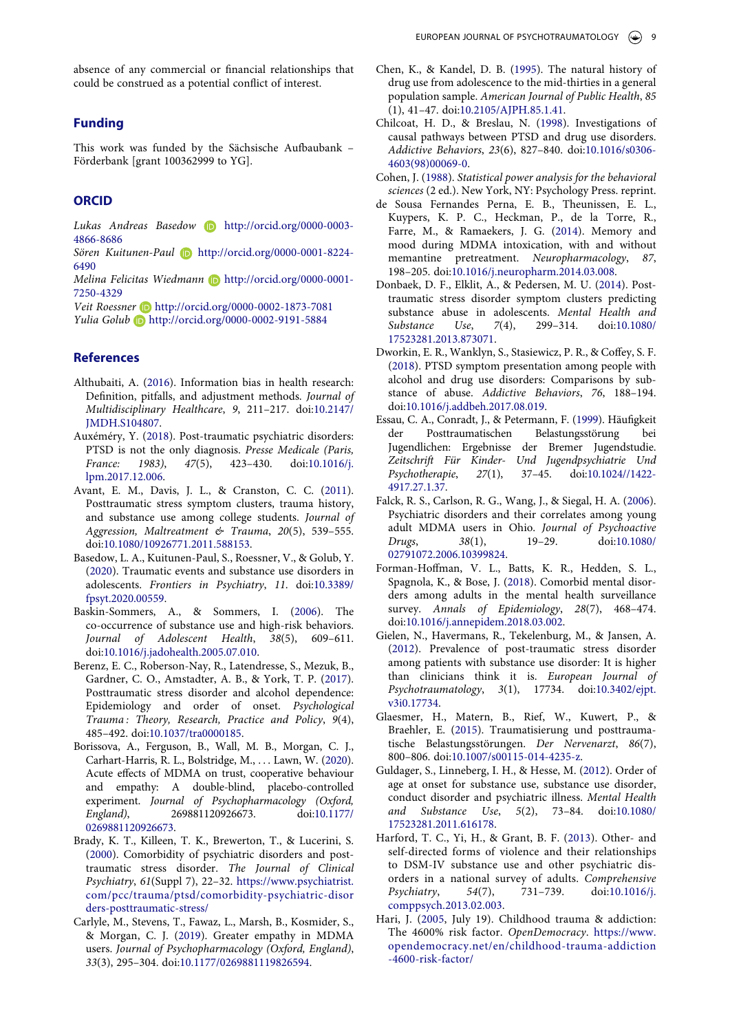absence of any commercial or financial relationships that could be construed as a potential conflict of interest.

# **Funding**

This work was funded by the Sächsische Aufbaubank – Förderbank [grant 100362999 to YG].

# **ORCID**

Lukas Andreas Basedow **b** http://orcid.org/0000-0003-4866-8686

*Sören Kuitunen-Paul* http://orcid.org/0000-0001-8224- 6490

*Melina Felicitas Wiedmann* http://orcid.org/0000-0001- 7250-4329

*Veit Roessner* http://orcid.org/0000-0002-1873-7081 *Yulia Golub* http://orcid.org/0000-0002-9191-5884

### **References**

- <span id="page-8-22"></span>Althubaiti, A. [\(2016](#page-7-0)). Information bias in health research: Definition, pitfalls, and adjustment methods. *Journal of Multidisciplinary Healthcare*, *9*, 211–217. doi:[10.2147/](https://doi.org/10.2147/JMDH.S104807)  [JMDH.S104807.](https://doi.org/10.2147/JMDH.S104807)
- <span id="page-8-18"></span>Auxéméry, Y. ([2018\)](#page-6-0). Post-traumatic psychiatric disorders: PTSD is not the only diagnosis. *Presse Medicale (Paris, France: 1983)*, *47*(5), 423–430. doi:[10.1016/j.](https://doi.org/10.1016/j.lpm.2017.12.006)  [lpm.2017.12.006.](https://doi.org/10.1016/j.lpm.2017.12.006)
- <span id="page-8-11"></span>Avant, E. M., Davis, J. L., & Cranston, C. C. ([2011](#page-2-1)). Posttraumatic stress symptom clusters, trauma history, and substance use among college students. *Journal of Aggression, Maltreatment & Trauma*, *20*(5), 539–555. doi:[10.1080/10926771.2011.588153.](https://doi.org/10.1080/10926771.2011.588153)
- <span id="page-8-2"></span>Basedow, L. A., Kuitunen-Paul, S., Roessner, V., & Golub, Y. [\(2020\)](#page-1-0). Traumatic events and substance use disorders in adolescents. *Frontiers in Psychiatry*, *11*. doi:[10.3389/](https://doi.org/10.3389/fpsyt.2020.00559)  [fpsyt.2020.00559.](https://doi.org/10.3389/fpsyt.2020.00559)
- <span id="page-8-4"></span>Baskin-Sommers, A., & Sommers, I. [\(2006](#page-1-1)). The co-occurrence of substance use and high-risk behaviors. *Journal of Adolescent Health*, *38*(5), 609–611. doi:[10.1016/j.jadohealth.2005.07.010](https://doi.org/10.1016/j.jadohealth.2005.07.010).
- <span id="page-8-12"></span>Berenz, E. C., Roberson-Nay, R., Latendresse, S., Mezuk, B., Gardner, C. O., Amstadter, A. B., & York, T. P. ([2017](#page-2-2)). Posttraumatic stress disorder and alcohol dependence: Epidemiology and order of onset. *Psychological Trauma : Theory, Research, Practice and Policy*, *9*(4), 485–492. doi:[10.1037/tra0000185.](https://doi.org/10.1037/tra0000185)
- <span id="page-8-16"></span>Borissova, A., Ferguson, B., Wall, M. B., Morgan, C. J., Carhart-Harris, R. L., Bolstridge, M., . . . Lawn, W. [\(2020](#page-6-1)). Acute effects of MDMA on trust, cooperative behaviour and empathy: A double-blind, placebo-controlled experiment. *Journal of Psychopharmacology (Oxford, England)*, 269881120926673. doi:[10.1177/](https://doi.org/10.1177/0269881120926673)  [0269881120926673](https://doi.org/10.1177/0269881120926673).
- <span id="page-8-19"></span>Brady, K. T., Killeen, T. K., Brewerton, T., & Lucerini, S. [\(2000\)](#page-6-2). Comorbidity of psychiatric disorders and posttraumatic stress disorder. *The Journal of Clinical Psychiatry*, *61*(Suppl 7), 22–32. [https://www.psychiatrist.](https://www.psychiatrist.com/pcc/trauma/ptsd/comorbidity-psychiatric-disorders-posttraumatic-stress/)  [com/pcc/trauma/ptsd/comorbidity-psychiatric-disor](https://www.psychiatrist.com/pcc/trauma/ptsd/comorbidity-psychiatric-disorders-posttraumatic-stress/) [ders-posttraumatic-stress/](https://www.psychiatrist.com/pcc/trauma/ptsd/comorbidity-psychiatric-disorders-posttraumatic-stress/)
- <span id="page-8-15"></span>Carlyle, M., Stevens, T., Fawaz, L., Marsh, B., Kosmider, S., & Morgan, C. J. ([2019\)](#page-6-3). Greater empathy in MDMA users. *Journal of Psychopharmacology (Oxford, England)*, *33*(3), 295–304. doi:[10.1177/0269881119826594](https://doi.org/10.1177/0269881119826594).
- <span id="page-8-21"></span>Chen, K., & Kandel, D. B. [\(1995\)](#page-7-1). The natural history of drug use from adolescence to the mid-thirties in a general population sample. *American Journal of Public Health*, *85*  (1), 41–47. doi:[10.2105/AJPH.85.1.41](https://doi.org/10.2105/AJPH.85.1.41).
- <span id="page-8-8"></span>Chilcoat, H. D., & Breslau, N. ([1998](#page-1-2)). Investigations of causal pathways between PTSD and drug use disorders. *Addictive Behaviors*, *23*(6), 827–840. doi:[10.1016/s0306-](https://doi.org/10.1016/s0306-4603(98)00069-0) [4603\(98\)00069-0](https://doi.org/10.1016/s0306-4603(98)00069-0).
- <span id="page-8-14"></span>Cohen, J. [\(1988](#page-4-1)). *Statistical power analysis for the behavioral sciences* (2 ed.). New York, NY: Psychology Press. reprint.
- <span id="page-8-17"></span>de Sousa Fernandes Perna, E. B., Theunissen, E. L., Kuypers, K. P. C., Heckman, P., de la Torre, R., Farre, M., & Ramaekers, J. G. [\(2014](#page-6-4)). Memory and mood during MDMA intoxication, with and without memantine pretreatment. *Neuropharmacology*, *87*, 198–205. doi:[10.1016/j.neuropharm.2014.03.008](https://doi.org/10.1016/j.neuropharm.2014.03.008).
- <span id="page-8-10"></span>Donbaek, D. F., Elklit, A., & Pedersen, M. U. ([2014\)](#page-1-0). Posttraumatic stress disorder symptom clusters predicting substance abuse in adolescents. *Mental Health and Substance Use*, *7*(4), 299–314. doi:[10.1080/](https://doi.org/10.1080/17523281.2013.873071) [17523281.2013.873071](https://doi.org/10.1080/17523281.2013.873071).
- <span id="page-8-7"></span>Dworkin, E. R., Wanklyn, S., Stasiewicz, P. R., & Coffey, S. F. ([2018](#page-1-3)). PTSD symptom presentation among people with alcohol and drug use disorders: Comparisons by substance of abuse. *Addictive Behaviors*, *76*, 188–194. doi:[10.1016/j.addbeh.2017.08.019](https://doi.org/10.1016/j.addbeh.2017.08.019).
- <span id="page-8-1"></span>Essau, C. A., Conradt, J., & Petermann, F. [\(1999\)](#page-1-4). Häufigkeit der Posttraumatischen Belastungsstörung bei Jugendlichen: Ergebnisse der Bremer Jugendstudie. *Zeitschrift Für Kinder- Und Jugendpsychiatrie Und Psychotherapie*, *27*(1), 37–45. doi:[10.1024//1422-](https://doi.org/10.1024//1422-4917.27.1.37) [4917.27.1.37](https://doi.org/10.1024//1422-4917.27.1.37).
- <span id="page-8-20"></span>Falck, R. S., Carlson, R. G., Wang, J., & Siegal, H. A. ([2006\)](#page-6-5). Psychiatric disorders and their correlates among young adult MDMA users in Ohio. *Journal of Psychoactive Drugs*, *38*(1), 19–29. doi:[10.1080/](https://doi.org/10.1080/02791072.2006.10399824) [02791072.2006.10399824](https://doi.org/10.1080/02791072.2006.10399824).
- <span id="page-8-0"></span>Forman-Hoffman, V. L., Batts, K. R., Hedden, S. L., Spagnola, K., & Bose, J. [\(2018](#page-1-5)). Comorbid mental disorders among adults in the mental health surveillance survey. *Annals of Epidemiology*, *28*(7), 468–474. doi:[10.1016/j.annepidem.2018.03.002.](https://doi.org/10.1016/j.annepidem.2018.03.002)
- <span id="page-8-3"></span>Gielen, N., Havermans, R., Tekelenburg, M., & Jansen, A. ([2012](#page-1-6)). Prevalence of post-traumatic stress disorder among patients with substance use disorder: It is higher than clinicians think it is. *European Journal of Psychotraumatology*, *3*(1), 17734. doi:[10.3402/ejpt.](https://doi.org/10.3402/ejpt.v3i0.17734) [v3i0.17734.](https://doi.org/10.3402/ejpt.v3i0.17734)
- <span id="page-8-6"></span>Glaesmer, H., Matern, B., Rief, W., Kuwert, P., & Braehler, E. [\(2015](#page-1-7)). Traumatisierung und posttraumatische Belastungsstörungen. *Der Nervenarzt*, *86*(7), 800–806. doi:[10.1007/s00115-014-4235-z](https://doi.org/10.1007/s00115-014-4235-z).
- <span id="page-8-9"></span>Guldager, S., Linneberg, I. H., & Hesse, M. ([2012](#page-1-8)). Order of age at onset for substance use, substance use disorder, conduct disorder and psychiatric illness. *Mental Health and Substance Use*, *5*(2), 73–84. doi:[10.1080/](https://doi.org/10.1080/17523281.2011.616178) [17523281.2011.616178](https://doi.org/10.1080/17523281.2011.616178).
- <span id="page-8-5"></span>Harford, T. C., Yi, H., & Grant, B. F. [\(2013\)](#page-1-9). Other- and self-directed forms of violence and their relationships to DSM-IV substance use and other psychiatric disorders in a national survey of adults. *Comprehensive Psychiatry*, *54*(7), 731–739. doi:[10.1016/j.](https://doi.org/10.1016/j.comppsych.2013.02.003) [comppsych.2013.02.003.](https://doi.org/10.1016/j.comppsych.2013.02.003)
- <span id="page-8-13"></span>Hari, J. ([2005](#page-2-3), July 19). Childhood trauma & addiction: The 4600% risk factor. *OpenDemocracy*. [https://www.](https://www.opendemocracy.net/en/childhood-trauma-addiction-4600-risk-factor/) [opendemocracy.net/en/childhood-trauma-addiction](https://www.opendemocracy.net/en/childhood-trauma-addiction-4600-risk-factor/)  [-4600-risk-factor/](https://www.opendemocracy.net/en/childhood-trauma-addiction-4600-risk-factor/)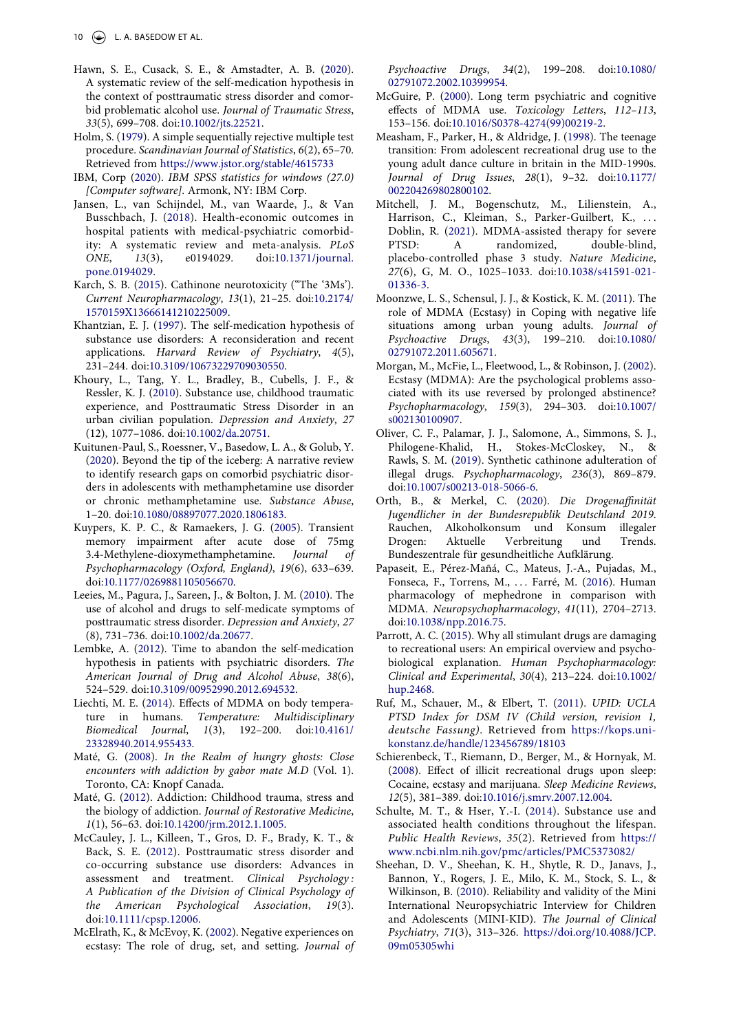- <span id="page-9-13"></span>Hawn, S. E., Cusack, S. E., & Amstadter, A. B. ([2020](#page-6-6)). A systematic review of the self-medication hypothesis in the context of posttraumatic stress disorder and comorbid problematic alcohol use. *Journal of Traumatic Stress*, *33*(5), 699–708. doi:[10.1002/jts.22521](https://doi.org/10.1002/jts.22521).
- <span id="page-9-12"></span>Holm, S. [\(1979\)](#page-4-2). A simple sequentially rejective multiple test procedure. *Scandinavian Journal of Statistics*, *6*(2), 65–70. Retrieved from <https://www.jstor.org/stable/4615733>
- <span id="page-9-11"></span>IBM, Corp ([2020](#page-3-0)). *IBM SPSS statistics for windows (27.0) [Computer software]*. Armonk, NY: IBM Corp.
- <span id="page-9-0"></span>Jansen, L., van Schijndel, M., van Waarde, J., & Van Busschbach, J. [\(2018](#page-1-10)). Health-economic outcomes in hospital patients with medical-psychiatric comorbidity: A systematic review and meta-analysis. *PLoS ONE*, *13*(3), e0194029. doi:[10.1371/journal.](https://doi.org/10.1371/journal.pone.0194029)  [pone.0194029.](https://doi.org/10.1371/journal.pone.0194029)
- <span id="page-9-25"></span>Karch, S. B. ([2015\)](#page-6-7). Cathinone neurotoxicity ("The '3Ms'). *Current Neuropharmacology*, *13*(1), 21–25. doi:[10.2174/](https://doi.org/10.2174/1570159X13666141210225009)  [1570159X13666141210225009.](https://doi.org/10.2174/1570159X13666141210225009)
- <span id="page-9-3"></span>Khantzian, E. J. [\(1997\)](#page-1-3). The self-medication hypothesis of substance use disorders: A reconsideration and recent applications. *Harvard Review of Psychiatry*, *4*(5), 231–244. doi:[10.3109/10673229709030550.](https://doi.org/10.3109/10673229709030550)
- <span id="page-9-6"></span>Khoury, L., Tang, Y. L., Bradley, B., Cubells, J. F., & Ressler, K. J. ([2010\)](#page-2-4). Substance use, childhood traumatic experience, and Posttraumatic Stress Disorder in an urban civilian population. *Depression and Anxiety*, *27*  (12), 1077–1086. doi:[10.1002/da.20751](https://doi.org/10.1002/da.20751).
- <span id="page-9-2"></span>Kuitunen-Paul, S., Roessner, V., Basedow, L. A., & Golub, Y. [\(2020\)](#page-1-11). Beyond the tip of the iceberg: A narrative review to identify research gaps on comorbid psychiatric disorders in adolescents with methamphetamine use disorder or chronic methamphetamine use. *Substance Abuse*, 1–20. doi:[10.1080/08897077.2020.1806183.](https://doi.org/10.1080/08897077.2020.1806183)
- <span id="page-9-17"></span>Kuypers, K. P. C., & Ramaekers, J. G. ([2005\)](#page-6-4). Transient memory impairment after acute dose of 75mg 3.4-Methylene-dioxymethamphetamine. *Journal of Psychopharmacology (Oxford, England)*, *19*(6), 633–639. doi:[10.1177/0269881105056670](https://doi.org/10.1177/0269881105056670).
- <span id="page-9-5"></span>Leeies, M., Pagura, J., Sareen, J., & Bolton, J. M. ([2010\)](#page-1-12). The use of alcohol and drugs to self-medicate symptoms of posttraumatic stress disorder. *Depression and Anxiety*, *27*  (8), 731–736. doi:[10.1002/da.20677](https://doi.org/10.1002/da.20677).
- <span id="page-9-19"></span>Lembke, A. ([2012\)](#page-6-8). Time to abandon the self-medication hypothesis in patients with psychiatric disorders. *The American Journal of Drug and Alcohol Abuse*, *38*(6), 524–529. doi:[10.3109/00952990.2012.694532.](https://doi.org/10.3109/00952990.2012.694532)
- <span id="page-9-16"></span>Liechti, M. E. [\(2014](#page-6-9)). Effects of MDMA on body temperature in humans. *Temperature: Multidisciplinary Biomedical Journal*, *1*(3), 192–200. doi:[10.4161/](https://doi.org/10.4161/23328940.2014.955433)  [23328940.2014.955433](https://doi.org/10.4161/23328940.2014.955433).
- <span id="page-9-7"></span>Maté, G. ([2008](#page-2-3)). *In the Realm of hungry ghosts: Close encounters with addiction by gabor mate M.D* (Vol. 1). Toronto, CA: Knopf Canada.
- <span id="page-9-8"></span>Maté, G. ([2012](#page-2-3)). Addiction: Childhood trauma, stress and the biology of addiction. *Journal of Restorative Medicine*, *1*(1), 56–63. doi:[10.14200/jrm.2012.1.1005.](https://doi.org/10.14200/jrm.2012.1.1005)
- <span id="page-9-4"></span>McCauley, J. L., Killeen, T., Gros, D. F., Brady, K. T., & Back, S. E. ([2012](#page-1-13)). Posttraumatic stress disorder and co-occurring substance use disorders: Advances in assessment and treatment. *Clinical Psychology : A Publication of the Division of Clinical Psychology of the American Psychological Association*, *19*(3). doi:[10.1111/cpsp.12006.](https://doi.org/10.1111/cpsp.12006)
- <span id="page-9-15"></span>McElrath, K., & McEvoy, K. ([2002](#page-6-10)). Negative experiences on ecstasy: The role of drug, set, and setting. *Journal of*

*Psychoactive Drugs*, *34*(2), 199–208. doi:[10.1080/](https://doi.org/10.1080/02791072.2002.10399954) [02791072.2002.10399954](https://doi.org/10.1080/02791072.2002.10399954).

- <span id="page-9-21"></span>McGuire, P. [\(2000\)](#page-6-11). Long term psychiatric and cognitive effects of MDMA use. *Toxicology Letters*, *112–113*, 153–156. doi:[10.1016/S0378-4274\(99\)00219-2.](https://doi.org/10.1016/S0378-4274(99)00219-2)
- <span id="page-9-28"></span>Measham, F., Parker, H., & Aldridge, J. ([1998](#page-7-2)). The teenage transition: From adolescent recreational drug use to the young adult dance culture in britain in the MID-1990s. *Journal of Drug Issues*, *28*(1), 9–32. doi:[10.1177/](https://doi.org/10.1177/002204269802800102) [002204269802800102.](https://doi.org/10.1177/002204269802800102)
- <span id="page-9-18"></span>Mitchell, J. M., Bogenschutz, M., Lilienstein, A., Harrison, C., Kleiman, S., Parker-Guilbert, K., ... Doblin, R. ([2021](#page-6-12)). MDMA-assisted therapy for severe PTSD: A randomized, double-blind, placebo-controlled phase 3 study. *Nature Medicine*, *27*(6), G, M. O., 1025–1033. doi:[10.1038/s41591-021-](https://doi.org/10.1038/s41591-021-01336-3) [01336-3](https://doi.org/10.1038/s41591-021-01336-3).
- <span id="page-9-14"></span>Moonzwe, L. S., Schensul, J. J., & Kostick, K. M. [\(2011\)](#page-6-13). The role of MDMA (Ecstasy) in Coping with negative life situations among urban young adults. *Journal of Psychoactive Drugs*, *43*(3), 199–210. doi:[10.1080/](https://doi.org/10.1080/02791072.2011.605671) [02791072.2011.605671](https://doi.org/10.1080/02791072.2011.605671).
- <span id="page-9-20"></span>Morgan, M., McFie, L., Fleetwood, L., & Robinson, J. ([2002\)](#page-6-14). Ecstasy (MDMA): Are the psychological problems associated with its use reversed by prolonged abstinence? *Psychopharmacology*, *159*(3), 294–303. doi:[10.1007/](https://doi.org/10.1007/s002130100907) [s002130100907.](https://doi.org/10.1007/s002130100907)
- <span id="page-9-24"></span>Oliver, C. F., Palamar, J. J., Salomone, A., Simmons, S. J., Philogene-Khalid, H., Stokes-McCloskey, N., & Rawls, S. M. [\(2019](#page-6-15)). Synthetic cathinone adulteration of illegal drugs. *Psychopharmacology*, *236*(3), 869–879. doi:[10.1007/s00213-018-5066-6.](https://doi.org/10.1007/s00213-018-5066-6)
- <span id="page-9-27"></span>Orth, B., & Merkel, C. ([2020](#page-7-3)). *Die Drogenaffinität Jugendlicher in der Bundesrepublik Deutschland 2019*. Rauchen, Alkoholkonsum und Konsum illegaler Drogen: Aktuelle Verbreitung und Trends. Bundeszentrale für gesundheitliche Aufklärung.
- <span id="page-9-26"></span>Papaseit, E., Pérez-Mañá, C., Mateus, J.-A., Pujadas, M., Fonseca, F., Torrens, M., . . . Farré, M. [\(2016](#page-6-7)). Human pharmacology of mephedrone in comparison with MDMA. *Neuropsychopharmacology*, *41*(11), 2704–2713. doi:[10.1038/npp.2016.75.](https://doi.org/10.1038/npp.2016.75)
- <span id="page-9-23"></span>Parrott, A. C. [\(2015](#page-6-16)). Why all stimulant drugs are damaging to recreational users: An empirical overview and psychobiological explanation. *Human Psychopharmacology: Clinical and Experimental*, *30*(4), 213–224. doi:[10.1002/](https://doi.org/10.1002/hup.2468) [hup.2468](https://doi.org/10.1002/hup.2468).
- <span id="page-9-9"></span>Ruf, M., Schauer, M., & Elbert, T. ([2011\)](#page-3-1). *UPID: UCLA PTSD Index for DSM IV (Child version, revision 1, deutsche Fassung)*. Retrieved from [https://kops.uni](https://kops.uni-konstanz.de/handle/123456789/18103)[konstanz.de/handle/123456789/18103](https://kops.uni-konstanz.de/handle/123456789/18103)
- <span id="page-9-22"></span>Schierenbeck, T., Riemann, D., Berger, M., & Hornyak, M. ([2008](#page-6-17)). Effect of illicit recreational drugs upon sleep: Cocaine, ecstasy and marijuana. *Sleep Medicine Reviews*, *12*(5), 381–389. doi:[10.1016/j.smrv.2007.12.004](https://doi.org/10.1016/j.smrv.2007.12.004).
- <span id="page-9-1"></span>Schulte, M. T., & Hser, Y.-I. ([2014\)](#page-1-14). Substance use and associated health conditions throughout the lifespan. *Public Health Reviews*, *35*(2). Retrieved from [https://](https://www.ncbi.nlm.nih.gov/pmc/articles/PMC5373082/) [www.ncbi.nlm.nih.gov/pmc/articles/PMC5373082/](https://www.ncbi.nlm.nih.gov/pmc/articles/PMC5373082/)
- <span id="page-9-10"></span>Sheehan, D. V., Sheehan, K. H., Shytle, R. D., Janavs, J., Bannon, Y., Rogers, J. E., Milo, K. M., Stock, S. L., & Wilkinson, B. [\(2010\)](#page-3-2). Reliability and validity of the Mini International Neuropsychiatric Interview for Children and Adolescents (MINI-KID). *The Journal of Clinical Psychiatry*, *71*(3), 313–326. [https://doi.org/10.4088/JCP.](https://doi.org/10.4088/JCP.09m05305whi) [09m05305whi](https://doi.org/10.4088/JCP.09m05305whi)